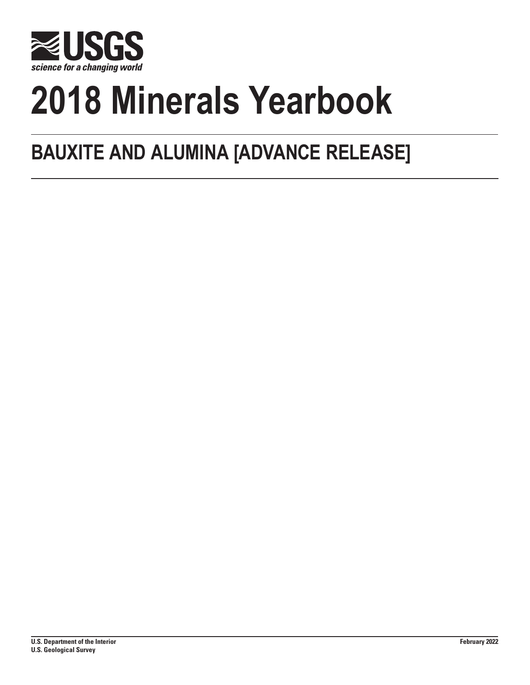

# **2018 Minerals Yearbook**

## **BAUXITE AND ALUMINA [ADVANCE RELEASE]**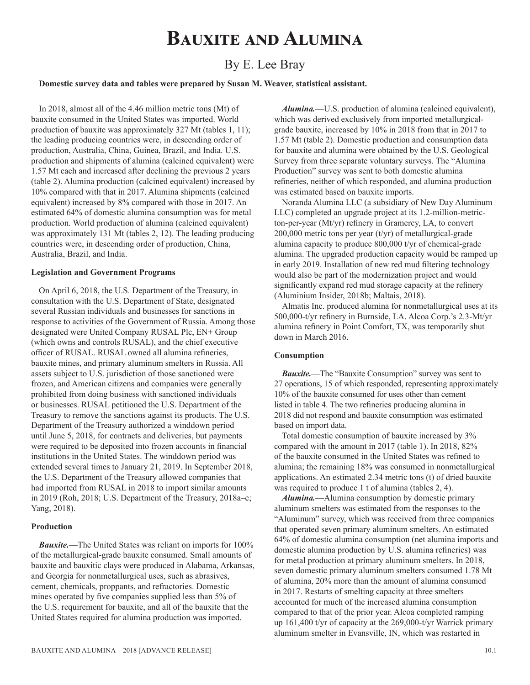## **Bauxite and Alumina**

### By E. Lee Bray

#### **Domestic survey data and tables were prepared by Susan M. Weaver, statistical assistant.**

In 2018, almost all of the 4.46 million metric tons (Mt) of bauxite consumed in the United States was imported. World production of bauxite was approximately 327 Mt (tables 1, 11); the leading producing countries were, in descending order of production, Australia, China, Guinea, Brazil, and India. U.S. production and shipments of alumina (calcined equivalent) were 1.57 Mt each and increased after declining the previous 2 years (table 2). Alumina production (calcined equivalent) increased by 10% compared with that in 2017. Alumina shipments (calcined equivalent) increased by 8% compared with those in 2017. An estimated 64% of domestic alumina consumption was for metal production. World production of alumina (calcined equivalent) was approximately 131 Mt (tables 2, 12). The leading producing countries were, in descending order of production, China, Australia, Brazil, and India.

#### **Legislation and Government Programs**

On April 6, 2018, the U.S. Department of the Treasury, in consultation with the U.S. Department of State, designated several Russian individuals and businesses for sanctions in response to activities of the Government of Russia. Among those designated were United Company RUSAL Plc, EN+ Group (which owns and controls RUSAL), and the chief executive officer of RUSAL. RUSAL owned all alumina refineries, bauxite mines, and primary aluminum smelters in Russia. All assets subject to U.S. jurisdiction of those sanctioned were frozen, and American citizens and companies were generally prohibited from doing business with sanctioned individuals or businesses. RUSAL petitioned the U.S. Department of the Treasury to remove the sanctions against its products. The U.S. Department of the Treasury authorized a winddown period until June 5, 2018, for contracts and deliveries, but payments were required to be deposited into frozen accounts in financial institutions in the United States. The winddown period was extended several times to January 21, 2019. In September 2018, the U.S. Department of the Treasury allowed companies that had imported from RUSAL in 2018 to import similar amounts in 2019 (Roh, 2018; U.S. Department of the Treasury, 2018a–c; Yang, 2018).

#### **Production**

*Bauxite.*—The United States was reliant on imports for 100% of the metallurgical-grade bauxite consumed. Small amounts of bauxite and bauxitic clays were produced in Alabama, Arkansas, and Georgia for nonmetallurgical uses, such as abrasives, cement, chemicals, proppants, and refractories. Domestic mines operated by five companies supplied less than 5% of the U.S. requirement for bauxite, and all of the bauxite that the United States required for alumina production was imported.

*Alumina.*—U.S. production of alumina (calcined equivalent), which was derived exclusively from imported metallurgicalgrade bauxite, increased by 10% in 2018 from that in 2017 to 1.57 Mt (table 2). Domestic production and consumption data for bauxite and alumina were obtained by the U.S. Geological Survey from three separate voluntary surveys. The "Alumina Production" survey was sent to both domestic alumina refineries, neither of which responded, and alumina production was estimated based on bauxite imports.

Noranda Alumina LLC (a subsidiary of New Day Aluminum LLC) completed an upgrade project at its 1.2-million-metricton-per-year (Mt/yr) refinery in Gramercy, LA, to convert 200,000 metric tons per year (t/yr) of metallurgical-grade alumina capacity to produce 800,000 t/yr of chemical-grade alumina. The upgraded production capacity would be ramped up in early 2019. Installation of new red mud filtering technology would also be part of the modernization project and would significantly expand red mud storage capacity at the refinery (Aluminium Insider, 2018b; Maltais, 2018).

Almatis Inc. produced alumina for nonmetallurgical uses at its 500,000-t/yr refinery in Burnside, LA. Alcoa Corp.'s 2.3-Mt/yr alumina refinery in Point Comfort, TX, was temporarily shut down in March 2016.

#### **Consumption**

*Bauxite.*—The "Bauxite Consumption" survey was sent to 27 operations, 15 of which responded, representing approximately 10% of the bauxite consumed for uses other than cement listed in table 4. The two refineries producing alumina in 2018 did not respond and bauxite consumption was estimated based on import data.

Total domestic consumption of bauxite increased by 3% compared with the amount in 2017 (table 1). In 2018, 82% of the bauxite consumed in the United States was refined to alumina; the remaining 18% was consumed in nonmetallurgical applications. An estimated 2.34 metric tons (t) of dried bauxite was required to produce 1 t of alumina (tables 2, 4).

*Alumina.*—Alumina consumption by domestic primary aluminum smelters was estimated from the responses to the "Aluminum" survey, which was received from three companies that operated seven primary aluminum smelters. An estimated 64% of domestic alumina consumption (net alumina imports and domestic alumina production by U.S. alumina refineries) was for metal production at primary aluminum smelters. In 2018, seven domestic primary aluminum smelters consumed 1.78 Mt of alumina, 20% more than the amount of alumina consumed in 2017. Restarts of smelting capacity at three smelters accounted for much of the increased alumina consumption compared to that of the prior year. Alcoa completed ramping up 161,400 t/yr of capacity at the 269,000-t/yr Warrick primary aluminum smelter in Evansville, IN, which was restarted in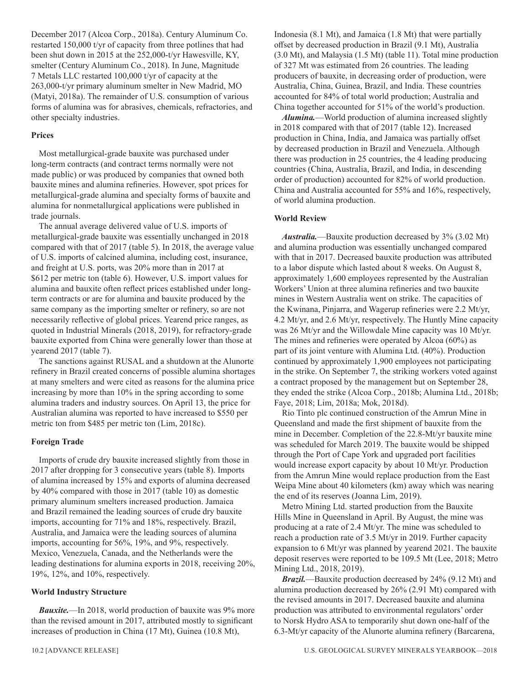December 2017 (Alcoa Corp., 2018a). Century Aluminum Co. restarted 150,000 t/yr of capacity from three potlines that had been shut down in 2015 at the 252,000-t/yr Hawesville, KY, smelter (Century Aluminum Co., 2018). In June, Magnitude 7 Metals LLC restarted 100,000 t/yr of capacity at the 263,000-t/yr primary aluminum smelter in New Madrid, MO (Matyi, 2018a). The remainder of U.S. consumption of various forms of alumina was for abrasives, chemicals, refractories, and other specialty industries.

#### **Prices**

Most metallurgical-grade bauxite was purchased under long-term contracts (and contract terms normally were not made public) or was produced by companies that owned both bauxite mines and alumina refineries. However, spot prices for metallurgical-grade alumina and specialty forms of bauxite and alumina for nonmetallurgical applications were published in trade journals.

The annual average delivered value of U.S. imports of metallurgical-grade bauxite was essentially unchanged in 2018 compared with that of 2017 (table 5). In 2018, the average value of U.S. imports of calcined alumina, including cost, insurance, and freight at U.S. ports, was 20% more than in 2017 at \$612 per metric ton (table 6). However, U.S. import values for alumina and bauxite often reflect prices established under longterm contracts or are for alumina and bauxite produced by the same company as the importing smelter or refinery, so are not necessarily reflective of global prices. Yearend price ranges, as quoted in Industrial Minerals (2018, 2019), for refractory-grade bauxite exported from China were generally lower than those at yearend 2017 (table 7).

The sanctions against RUSAL and a shutdown at the Alunorte refinery in Brazil created concerns of possible alumina shortages at many smelters and were cited as reasons for the alumina price increasing by more than 10% in the spring according to some alumina traders and industry sources. On April 13, the price for Australian alumina was reported to have increased to \$550 per metric ton from \$485 per metric ton (Lim, 2018c).

#### **Foreign Trade**

Imports of crude dry bauxite increased slightly from those in 2017 after dropping for 3 consecutive years (table 8). Imports of alumina increased by 15% and exports of alumina decreased by 40% compared with those in 2017 (table 10) as domestic primary aluminum smelters increased production. Jamaica and Brazil remained the leading sources of crude dry bauxite imports, accounting for 71% and 18%, respectively. Brazil, Australia, and Jamaica were the leading sources of alumina imports, accounting for 56%, 19%, and 9%, respectively. Mexico, Venezuela, Canada, and the Netherlands were the leading destinations for alumina exports in 2018, receiving 20%, 19%, 12%, and 10%, respectively.

#### **World Industry Structure**

*Bauxite.*—In 2018, world production of bauxite was 9% more than the revised amount in 2017, attributed mostly to significant increases of production in China (17 Mt), Guinea (10.8 Mt),

Indonesia (8.1 Mt), and Jamaica (1.8 Mt) that were partially offset by decreased production in Brazil (9.1 Mt), Australia (3.0 Mt), and Malaysia (1.5 Mt) (table 11). Total mine production of 327 Mt was estimated from 26 countries. The leading producers of bauxite, in decreasing order of production, were Australia, China, Guinea, Brazil, and India. These countries accounted for 84% of total world production; Australia and China together accounted for 51% of the world's production.

*Alumina.*—World production of alumina increased slightly in 2018 compared with that of 2017 (table 12). Increased production in China, India, and Jamaica was partially offset by decreased production in Brazil and Venezuela. Although there was production in 25 countries, the 4 leading producing countries (China, Australia, Brazil, and India, in descending order of production) accounted for 82% of world production. China and Australia accounted for 55% and 16%, respectively, of world alumina production.

#### **World Review**

*Australia.*—Bauxite production decreased by 3% (3.02 Mt) and alumina production was essentially unchanged compared with that in 2017. Decreased bauxite production was attributed to a labor dispute which lasted about 8 weeks. On August 8, approximately 1,600 employees represented by the Australian Workers' Union at three alumina refineries and two bauxite mines in Western Australia went on strike. The capacities of the Kwinana, Pinjarra, and Wagerup refineries were 2.2 Mt/yr, 4.2 Mt/yr, and 2.6 Mt/yr, respectively. The Huntly Mine capacity was 26 Mt/yr and the Willowdale Mine capacity was 10 Mt/yr. The mines and refineries were operated by Alcoa (60%) as part of its joint venture with Alumina Ltd. (40%). Production continued by approximately 1,900 employees not participating in the strike. On September 7, the striking workers voted against a contract proposed by the management but on September 28, they ended the strike (Alcoa Corp., 2018b; Alumina Ltd., 2018b; Faye, 2018; Lim, 2018a; Mok, 2018d).

Rio Tinto plc continued construction of the Amrun Mine in Queensland and made the first shipment of bauxite from the mine in December. Completion of the 22.8-Mt/yr bauxite mine was scheduled for March 2019. The bauxite would be shipped through the Port of Cape York and upgraded port facilities would increase export capacity by about 10 Mt/yr. Production from the Amrun Mine would replace production from the East Weipa Mine about 40 kilometers (km) away which was nearing the end of its reserves (Joanna Lim, 2019).

Metro Mining Ltd. started production from the Bauxite Hills Mine in Queensland in April. By August, the mine was producing at a rate of 2.4 Mt/yr. The mine was scheduled to reach a production rate of 3.5 Mt/yr in 2019. Further capacity expansion to 6 Mt/yr was planned by yearend 2021. The bauxite deposit reserves were reported to be 109.5 Mt (Lee, 2018; Metro Mining Ltd., 2018, 2019).

*Brazil.*—Bauxite production decreased by 24% (9.12 Mt) and alumina production decreased by 26% (2.91 Mt) compared with the revised amounts in 2017. Decreased bauxite and alumina production was attributed to environmental regulators' order to Norsk Hydro ASA to temporarily shut down one-half of the 6.3-Mt/yr capacity of the Alunorte alumina refinery (Barcarena,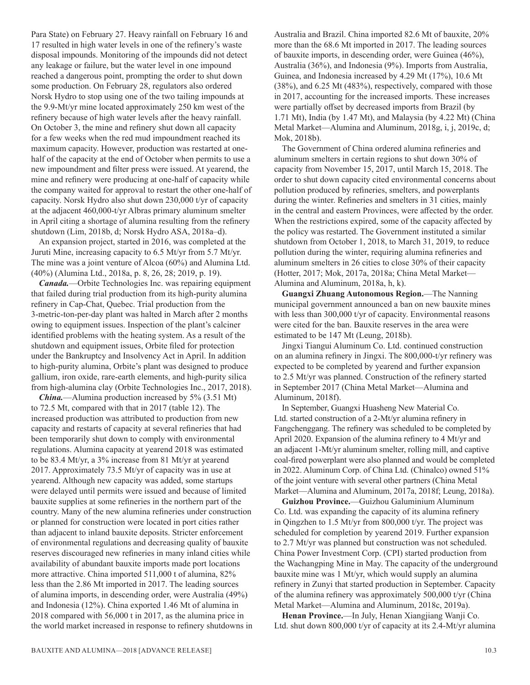Para State) on February 27. Heavy rainfall on February 16 and 17 resulted in high water levels in one of the refinery's waste disposal impounds. Monitoring of the impounds did not detect any leakage or failure, but the water level in one impound reached a dangerous point, prompting the order to shut down some production. On February 28, regulators also ordered Norsk Hydro to stop using one of the two tailing impounds at the 9.9-Mt/yr mine located approximately 250 km west of the refinery because of high water levels after the heavy rainfall. On October 3, the mine and refinery shut down all capacity for a few weeks when the red mud impoundment reached its maximum capacity. However, production was restarted at onehalf of the capacity at the end of October when permits to use a new impoundment and filter press were issued. At yearend, the mine and refinery were producing at one-half of capacity while the company waited for approval to restart the other one-half of capacity. Norsk Hydro also shut down 230,000 t/yr of capacity at the adjacent 460,000-t/yr Albras primary aluminum smelter in April citing a shortage of alumina resulting from the refinery shutdown (Lim, 2018b, d; Norsk Hydro ASA, 2018a–d).

An expansion project, started in 2016, was completed at the Juruti Mine, increasing capacity to 6.5 Mt/yr from 5.7 Mt/yr. The mine was a joint venture of Alcoa (60%) and Alumina Ltd. (40%) (Alumina Ltd., 2018a, p. 8, 26, 28; 2019, p. 19).

*Canada.*—Orbite Technologies Inc. was repairing equipment that failed during trial production from its high-purity alumina refinery in Cap-Chat, Quebec. Trial production from the 3-metric-ton-per-day plant was halted in March after 2 months owing to equipment issues. Inspection of the plant's calciner identified problems with the heating system. As a result of the shutdown and equipment issues, Orbite filed for protection under the Bankruptcy and Insolvency Act in April. In addition to high-purity alumina, Orbite's plant was designed to produce gallium, iron oxide, rare-earth elements, and high-purity silica from high-alumina clay (Orbite Technologies Inc., 2017, 2018).

*China.*—Alumina production increased by 5% (3.51 Mt) to 72.5 Mt, compared with that in 2017 (table 12). The increased production was attributed to production from new capacity and restarts of capacity at several refineries that had been temporarily shut down to comply with environmental regulations. Alumina capacity at yearend 2018 was estimated to be 83.4 Mt/yr, a 3% increase from 81 Mt/yr at yearend 2017. Approximately 73.5 Mt/yr of capacity was in use at yearend. Although new capacity was added, some startups were delayed until permits were issued and because of limited bauxite supplies at some refineries in the northern part of the country. Many of the new alumina refineries under construction or planned for construction were located in port cities rather than adjacent to inland bauxite deposits. Stricter enforcement of environmental regulations and decreasing quality of bauxite reserves discouraged new refineries in many inland cities while availability of abundant bauxite imports made port locations more attractive. China imported 511,000 t of alumina, 82% less than the 2.86 Mt imported in 2017. The leading sources of alumina imports, in descending order, were Australia (49%) and Indonesia (12%). China exported 1.46 Mt of alumina in 2018 compared with 56,000 t in 2017, as the alumina price in the world market increased in response to refinery shutdowns in Australia and Brazil. China imported 82.6 Mt of bauxite, 20% more than the 68.6 Mt imported in 2017. The leading sources of bauxite imports, in descending order, were Guinea (46%), Australia (36%), and Indonesia (9%). Imports from Australia, Guinea, and Indonesia increased by 4.29 Mt (17%), 10.6 Mt (38%), and 6.25 Mt (483%), respectively, compared with those in 2017, accounting for the increased imports. These increases were partially offset by decreased imports from Brazil (by 1.71 Mt), India (by 1.47 Mt), and Malaysia (by 4.22 Mt) (China Metal Market—Alumina and Aluminum, 2018g, i, j, 2019c, d; Mok, 2018b).

The Government of China ordered alumina refineries and aluminum smelters in certain regions to shut down 30% of capacity from November 15, 2017, until March 15, 2018. The order to shut down capacity cited environmental concerns about pollution produced by refineries, smelters, and powerplants during the winter. Refineries and smelters in 31 cities, mainly in the central and eastern Provinces, were affected by the order. When the restrictions expired, some of the capacity affected by the policy was restarted. The Government instituted a similar shutdown from October 1, 2018, to March 31, 2019, to reduce pollution during the winter, requiring alumina refineries and aluminum smelters in 26 cities to close 30% of their capacity (Hotter, 2017; Mok, 2017a, 2018a; China Metal Market— Alumina and Aluminum, 2018a, h, k).

**Guangxi Zhuang Autonomous Region.**—The Nanning municipal government announced a ban on new bauxite mines with less than 300,000 t/yr of capacity. Environmental reasons were cited for the ban. Bauxite reserves in the area were estimated to be 147 Mt (Leung, 2018b).

Jingxi Tiangui Aluminum Co. Ltd. continued construction on an alumina refinery in Jingxi. The 800,000-t/yr refinery was expected to be completed by yearend and further expansion to 2.5 Mt/yr was planned. Construction of the refinery started in September 2017 (China Metal Market—Alumina and Aluminum, 2018f).

In September, Guangxi Huasheng New Material Co. Ltd. started construction of a 2-Mt/yr alumina refinery in Fangchenggang. The refinery was scheduled to be completed by April 2020. Expansion of the alumina refinery to 4 Mt/yr and an adjacent 1-Mt/yr aluminum smelter, rolling mill, and captive coal-fired powerplant were also planned and would be completed in 2022. Aluminum Corp. of China Ltd. (Chinalco) owned 51% of the joint venture with several other partners (China Metal Market—Alumina and Aluminum, 2017a, 2018f; Leung, 2018a).

**Guizhou Province.**—Guizhou Galuminium Aluminum Co. Ltd. was expanding the capacity of its alumina refinery in Qingzhen to 1.5 Mt/yr from 800,000 t/yr. The project was scheduled for completion by yearend 2019. Further expansion to 2.7 Mt/yr was planned but construction was not scheduled. China Power Investment Corp. (CPI) started production from the Wachangping Mine in May. The capacity of the underground bauxite mine was 1 Mt/yr, which would supply an alumina refinery in Zunyi that started production in September. Capacity of the alumina refinery was approximately 500,000 t/yr (China Metal Market—Alumina and Aluminum, 2018c, 2019a).

**Henan Province.**—In July, Henan Xiangjiang Wanji Co. Ltd. shut down 800,000 t/yr of capacity at its 2.4-Mt/yr alumina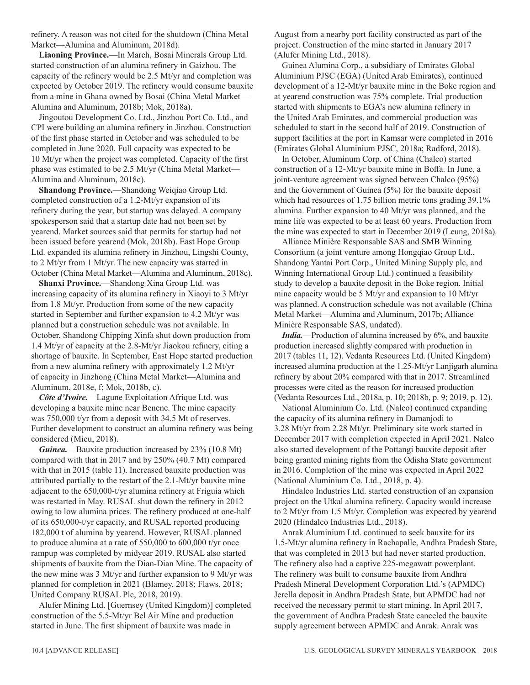refinery. A reason was not cited for the shutdown (China Metal Market—Alumina and Aluminum, 2018d).

**Liaoning Province.**—In March, Bosai Minerals Group Ltd. started construction of an alumina refinery in Gaizhou. The capacity of the refinery would be 2.5 Mt/yr and completion was expected by October 2019. The refinery would consume bauxite from a mine in Ghana owned by Bosai (China Metal Market— Alumina and Aluminum, 2018b; Mok, 2018a).

Jingoutou Development Co. Ltd., Jinzhou Port Co. Ltd., and CPI were building an alumina refinery in Jinzhou. Construction of the first phase started in October and was scheduled to be completed in June 2020. Full capacity was expected to be 10 Mt/yr when the project was completed. Capacity of the first phase was estimated to be 2.5 Mt/yr (China Metal Market— Alumina and Aluminum, 2018c).

**Shandong Province.**—Shandong Weiqiao Group Ltd. completed construction of a 1.2-Mt/yr expansion of its refinery during the year, but startup was delayed. A company spokesperson said that a startup date had not been set by yearend. Market sources said that permits for startup had not been issued before yearend (Mok, 2018b). East Hope Group Ltd. expanded its alumina refinery in Jinzhou, Lingshi County, to 2 Mt/yr from 1 Mt/yr. The new capacity was started in October (China Metal Market—Alumina and Aluminum, 2018c).

**Shanxi Province.**—Shandong Xina Group Ltd. was increasing capacity of its alumina refinery in Xiaoyi to 3 Mt/yr from 1.8 Mt/yr. Production from some of the new capacity started in September and further expansion to 4.2 Mt/yr was planned but a construction schedule was not available. In October, Shandong Chipping Xinfa shut down production from 1.4 Mt/yr of capacity at the 2.8-Mt/yr Jiaokou refinery, citing a shortage of bauxite. In September, East Hope started production from a new alumina refinery with approximately 1.2 Mt/yr of capacity in Jinzhong (China Metal Market—Alumina and Aluminum, 2018e, f; Mok, 2018b, c).

*Côte d'Ivoire.*—Lagune Exploitation Afrique Ltd. was developing a bauxite mine near Benene. The mine capacity was 750,000 t/yr from a deposit with 34.5 Mt of reserves. Further development to construct an alumina refinery was being considered (Mieu, 2018).

*Guinea.*—Bauxite production increased by 23% (10.8 Mt) compared with that in 2017 and by 250% (40.7 Mt) compared with that in 2015 (table 11). Increased bauxite production was attributed partially to the restart of the 2.1-Mt/yr bauxite mine adjacent to the 650,000-t/yr alumina refinery at Friguia which was restarted in May. RUSAL shut down the refinery in 2012 owing to low alumina prices. The refinery produced at one-half of its 650,000-t/yr capacity, and RUSAL reported producing 182,000 t of alumina by yearend. However, RUSAL planned to produce alumina at a rate of 550,000 to 600,000 t/yr once rampup was completed by midyear 2019. RUSAL also started shipments of bauxite from the Dian-Dian Mine. The capacity of the new mine was 3 Mt/yr and further expansion to 9 Mt/yr was planned for completion in 2021 (Blamey, 2018; Flaws, 2018; United Company RUSAL Plc, 2018, 2019).

Alufer Mining Ltd. [Guernsey (United Kingdom)] completed construction of the 5.5-Mt/yr Bel Air Mine and production started in June. The first shipment of bauxite was made in

August from a nearby port facility constructed as part of the project. Construction of the mine started in January 2017 (Alufer Mining Ltd., 2018).

Guinea Alumina Corp., a subsidiary of Emirates Global Aluminium PJSC (EGA) (United Arab Emirates), continued development of a 12-Mt/yr bauxite mine in the Boke region and at yearend construction was 75% complete. Trial production started with shipments to EGA's new alumina refinery in the United Arab Emirates, and commercial production was scheduled to start in the second half of 2019. Construction of support facilities at the port in Kamsar were completed in 2016 (Emirates Global Aluminium PJSC, 2018a; Radford, 2018).

In October, Aluminum Corp. of China (Chalco) started construction of a 12-Mt/yr bauxite mine in Boffa. In June, a joint-venture agreement was signed between Chalco (95%) and the Government of Guinea (5%) for the bauxite deposit which had resources of 1.75 billion metric tons grading 39.1% alumina. Further expansion to 40 Mt/yr was planned, and the mine life was expected to be at least 60 years. Production from the mine was expected to start in December 2019 (Leung, 2018a).

Alliance Minière Responsable SAS and SMB Winning Consortium (a joint venture among Hongqiao Group Ltd., Shandong Yantai Port Corp., United Mining Supply plc, and Winning International Group Ltd.) continued a feasibility study to develop a bauxite deposit in the Boke region. Initial mine capacity would be 5 Mt/yr and expansion to 10 Mt/yr was planned. A construction schedule was not available (China Metal Market—Alumina and Aluminum, 2017b; Alliance Minière Responsable SAS, undated).

*India.*—Production of alumina increased by 6%, and bauxite production increased slightly compared with production in 2017 (tables 11, 12). Vedanta Resources Ltd. (United Kingdom) increased alumina production at the 1.25-Mt/yr Lanjigarh alumina refinery by about 20% compared with that in 2017. Streamlined processes were cited as the reason for increased production (Vedanta Resources Ltd., 2018a, p. 10; 2018b, p. 9; 2019, p. 12).

National Aluminium Co. Ltd. (Nalco) continued expanding the capacity of its alumina refinery in Damanjodi to 3.28 Mt/yr from 2.28 Mt/yr. Preliminary site work started in December 2017 with completion expected in April 2021. Nalco also started development of the Pottangi bauxite deposit after being granted mining rights from the Odisha State government in 2016. Completion of the mine was expected in April 2022 (National Aluminium Co. Ltd., 2018, p. 4).

Hindalco Industries Ltd. started construction of an expansion project on the Utkal alumina refinery. Capacity would increase to 2 Mt/yr from 1.5 Mt/yr. Completion was expected by yearend 2020 (Hindalco Industries Ltd., 2018).

Anrak Aluminium Ltd. continued to seek bauxite for its 1.5-Mt/yr alumina refinery in Rachapalle, Andhra Pradesh State, that was completed in 2013 but had never started production. The refinery also had a captive 225-megawatt powerplant. The refinery was built to consume bauxite from Andhra Pradesh Mineral Development Corporation Ltd.'s (APMDC) Jerella deposit in Andhra Pradesh State, but APMDC had not received the necessary permit to start mining. In April 2017, the government of Andhra Pradesh State canceled the bauxite supply agreement between APMDC and Anrak. Anrak was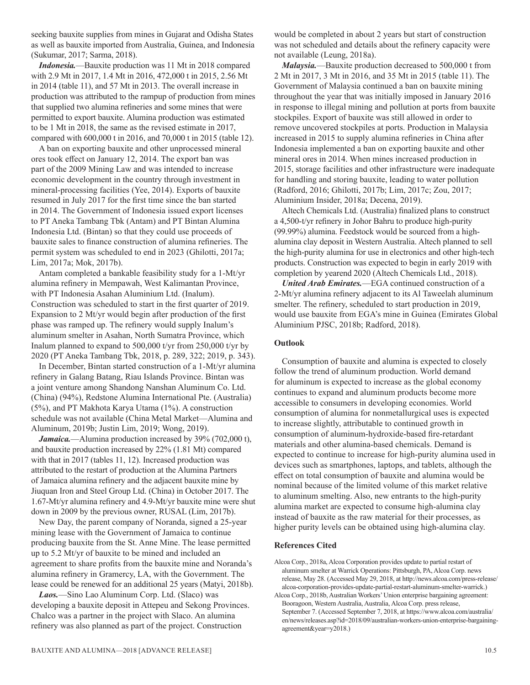seeking bauxite supplies from mines in Gujarat and Odisha States as well as bauxite imported from Australia, Guinea, and Indonesia (Sukumar, 2017; Sarma, 2018).

*Indonesia.*—Bauxite production was 11 Mt in 2018 compared with 2.9 Mt in 2017, 1.4 Mt in 2016, 472,000 t in 2015, 2.56 Mt in 2014 (table 11), and 57 Mt in 2013. The overall increase in production was attributed to the rampup of production from mines that supplied two alumina refineries and some mines that were permitted to export bauxite. Alumina production was estimated to be 1 Mt in 2018, the same as the revised estimate in 2017, compared with 600,000 t in 2016, and 70,000 t in 2015 (table 12).

A ban on exporting bauxite and other unprocessed mineral ores took effect on January 12, 2014. The export ban was part of the 2009 Mining Law and was intended to increase economic development in the country through investment in mineral-processing facilities (Yee, 2014). Exports of bauxite resumed in July 2017 for the first time since the ban started in 2014. The Government of Indonesia issued export licenses to PT Aneka Tambang Tbk (Antam) and PT Bintan Alumina Indonesia Ltd. (Bintan) so that they could use proceeds of bauxite sales to finance construction of alumina refineries. The permit system was scheduled to end in 2023 (Ghilotti, 2017a; Lim, 2017a; Mok, 2017b).

Antam completed a bankable feasibility study for a 1-Mt/yr alumina refinery in Mempawah, West Kalimantan Province, with PT Indonesia Asahan Aluminium Ltd. (Inalum). Construction was scheduled to start in the first quarter of 2019. Expansion to 2 Mt/yr would begin after production of the first phase was ramped up. The refinery would supply Inalum's aluminum smelter in Asahan, North Sumatra Province, which Inalum planned to expand to 500,000 t/yr from 250,000 t/yr by 2020 (PT Aneka Tambang Tbk, 2018, p. 289, 322; 2019, p. 343).

In December, Bintan started construction of a 1-Mt/yr alumina refinery in Galang Batang, Riau Islands Province. Bintan was a joint venture among Shandong Nanshan Aluminum Co. Ltd. (China) (94%), Redstone Alumina International Pte. (Australia) (5%), and PT Makhota Karya Utama (1%). A construction schedule was not available (China Metal Market—Alumina and Aluminum, 2019b; Justin Lim, 2019; Wong, 2019).

*Jamaica.*—Alumina production increased by 39% (702,000 t), and bauxite production increased by 22% (1.81 Mt) compared with that in 2017 (tables 11, 12). Increased production was attributed to the restart of production at the Alumina Partners of Jamaica alumina refinery and the adjacent bauxite mine by Jiuquan Iron and Steel Group Ltd. (China) in October 2017. The 1.67-Mt/yr alumina refinery and 4.9-Mt/yr bauxite mine were shut down in 2009 by the previous owner, RUSAL (Lim, 2017b).

New Day, the parent company of Noranda, signed a 25-year mining lease with the Government of Jamaica to continue producing bauxite from the St. Anne Mine. The lease permitted up to 5.2 Mt/yr of bauxite to be mined and included an agreement to share profits from the bauxite mine and Noranda's alumina refinery in Gramercy, LA, with the Government. The lease could be renewed for an additional 25 years (Matyi, 2018b).

*Laos.*—Sino Lao Aluminum Corp. Ltd. (Slaco) was developing a bauxite deposit in Attepeu and Sekong Provinces. Chalco was a partner in the project with Slaco. An alumina refinery was also planned as part of the project. Construction

would be completed in about 2 years but start of construction was not scheduled and details about the refinery capacity were not available (Leung, 2018a).

*Malaysia.*—Bauxite production decreased to 500,000 t from 2 Mt in 2017, 3 Mt in 2016, and 35 Mt in 2015 (table 11). The Government of Malaysia continued a ban on bauxite mining throughout the year that was initially imposed in January 2016 in response to illegal mining and pollution at ports from bauxite stockpiles. Export of bauxite was still allowed in order to remove uncovered stockpiles at ports. Production in Malaysia increased in 2015 to supply alumina refineries in China after Indonesia implemented a ban on exporting bauxite and other mineral ores in 2014. When mines increased production in 2015, storage facilities and other infrastructure were inadequate for handling and storing bauxite, leading to water pollution (Radford, 2016; Ghilotti, 2017b; Lim, 2017c; Zou, 2017; Aluminium Insider, 2018a; Decena, 2019).

Altech Chemicals Ltd. (Australia) finalized plans to construct a 4,500-t/yr refinery in Johor Bahru to produce high-purity (99.99%) alumina. Feedstock would be sourced from a highalumina clay deposit in Western Australia. Altech planned to sell the high-purity alumina for use in electronics and other high-tech products. Construction was expected to begin in early 2019 with completion by yearend 2020 (Altech Chemicals Ltd., 2018).

*United Arab Emirates.*—EGA continued construction of a 2-Mt/yr alumina refinery adjacent to its Al Taweelah aluminum smelter. The refinery, scheduled to start production in 2019, would use bauxite from EGA's mine in Guinea (Emirates Global Aluminium PJSC, 2018b; Radford, 2018).

#### **Outlook**

Consumption of bauxite and alumina is expected to closely follow the trend of aluminum production. World demand for aluminum is expected to increase as the global economy continues to expand and aluminum products become more accessible to consumers in developing economies. World consumption of alumina for nonmetallurgical uses is expected to increase slightly, attributable to continued growth in consumption of aluminum-hydroxide-based fire-retardant materials and other alumina-based chemicals. Demand is expected to continue to increase for high-purity alumina used in devices such as smartphones, laptops, and tablets, although the effect on total consumption of bauxite and alumina would be nominal because of the limited volume of this market relative to aluminum smelting. Also, new entrants to the high-purity alumina market are expected to consume high-alumina clay instead of bauxite as the raw material for their processes, as higher purity levels can be obtained using high-alumina clay.

#### **References Cited**

- Alcoa Corp., 2018a, Alcoa Corporation provides update to partial restart of aluminum smelter at Warrick Operations: Pittsburgh, PA, Alcoa Corp. news release, May 28. (Accessed May 29, 2018, at http://news.alcoa.com/press-release/ alcoa-corporation-provides-update-partial-restart-aluminum-smelter-warrick.)
- Alcoa Corp., 2018b, Australian Workers' Union enterprise bargaining agreement: Booragoon, Western Australia, Australia, Alcoa Corp. press release, September 7. (Accessed September 7, 2018, at https://www.alcoa.com/australia/ en/news/releases.asp?id=2018/09/australian-workers-union-enterprise-bargainingagreement&year=y2018.)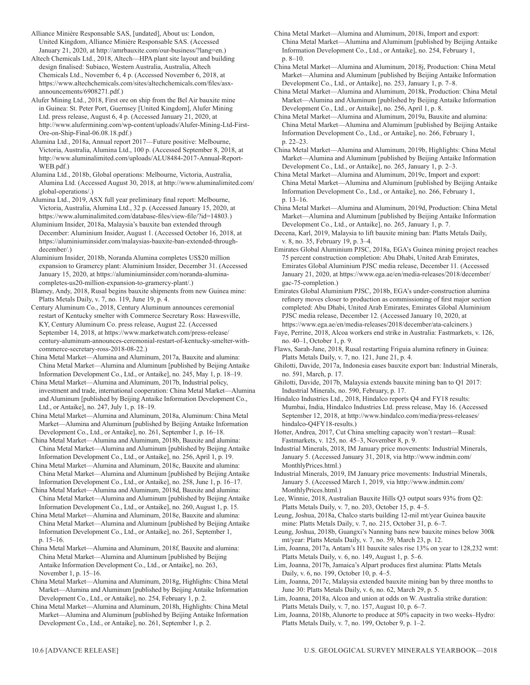Alliance Minière Responsable SAS, [undated], About us: London, United Kingdom, Alliance Minière Responsable SAS. (Accessed January 21, 2020, at http://amrbauxite.com/our-business/?lang=en.)

Altech Chemicals Ltd., 2018, Altech—HPA plant site layout and building design finalised: Subiaco, Western Australia, Australia, Altech Chemicals Ltd., November 6, 4 p. (Accessed November 6, 2018, at https://www.altechchemicals.com/sites/altechchemicals.com/files/asxannouncements/6908271.pdf.)

Alufer Mining Ltd., 2018, First ore on ship from the Bel Air bauxite mine in Guinea: St. Peter Port, Guernsey [United Kingdom], Alufer Mining Ltd. press release, August 6, 4 p. (Accessed January 21, 2020, at http://www.alufermining.com/wp-content/uploads/Alufer-Mining-Ltd-First-Ore-on-Ship-Final-06.08.18.pdf.)

Alumina Ltd., 2018a, Annual report 2017—Future positive: Melbourne, Victoria, Australia, Alumina Ltd., 100 p. (Accessed September 8, 2018, at http://www.aluminalimited.com/uploads/ALU8484-2017-Annual-Report-WEB.pdf.)

Alumina Ltd., 2018b, Global operations: Melbourne, Victoria, Australia, Alumina Ltd. (Accessed August 30, 2018, at http://www.aluminalimited.com/ global-operations/.)

Alumina Ltd., 2019, ASX full year preliminary final report: Melbourne, Victoria, Australia, Alumina Ltd., 32 p. (Accessed January 15, 2020, at https://www.aluminalimited.com/database-files/view-file/?id=14803.)

Aluminium Insider, 2018a, Malaysia's bauxite ban extended through December: Aluminium Insider, August 1. (Accessed October 16, 2018, at https://aluminiuminsider.com/malaysias-bauxite-ban-extended-throughdecember/.)

Aluminium Insider, 2018b, Noranda Alumina completes US\$20 million expansion to Gramercy plant: Aluminium Insider, December 31. (Accessed January 15, 2020, at https://aluminiuminsider.com/noranda-aluminacompletes-us20-million-expansion-to-gramercy-plant/.)

Blamey, Andy, 2018, Rusal begins bauxite shipments from new Guinea mine: Platts Metals Daily, v. 7, no. 119, June 19, p. 4.

Century Aluminum Co., 2018, Century Aluminum announces ceremonial restart of Kentucky smelter with Commerce Secretary Ross: Hawesville, KY, Century Aluminum Co. press release, August 22. (Accessed September 14, 2018, at https://www.marketwatch.com/press-release/ century-aluminum-announces-ceremonial-restart-of-kentucky-smelter-withcommerce-secretary-ross-2018-08-22.)

China Metal Market—Alumina and Aluminum, 2017a, Bauxite and alumina: China Metal Market—Alumina and Aluminum [published by Beijing Antaike Information Development Co., Ltd., or Antaike], no. 245, May 1, p. 18–19.

China Metal Market—Alumina and Aluminum, 2017b, Industrial policy, investment and trade, international cooperation: China Metal Market—Alumina and Aluminum [published by Beijing Antaike Information Development Co., Ltd., or Antaike], no. 247, July 1, p. 18–19.

China Metal Market—Alumina and Aluminum, 2018a, Aluminum: China Metal Market—Alumina and Aluminum [published by Beijing Antaike Information Development Co., Ltd., or Antaike], no. 261, September 1, p. 16–18.

China Metal Market—Alumina and Aluminum, 2018b, Bauxite and alumina: China Metal Market—Alumina and Aluminum [published by Beijing Antaike Information Development Co., Ltd., or Antaike], no. 256, April 1, p. 19.

China Metal Market—Alumina and Aluminum, 2018c, Bauxite and alumina: China Metal Market—Alumina and Aluminum [published by Beijing Antaike Information Development Co., Ltd., or Antaike], no. 258, June 1, p. 16–17.

China Metal Market—Alumina and Aluminum, 2018d, Bauxite and alumina: China Metal Market—Alumina and Aluminum [published by Beijing Antaike Information Development Co., Ltd., or Antaike], no. 260, August 1, p. 15.

China Metal Market—Alumina and Aluminum, 2018e, Bauxite and alumina: China Metal Market—Alumina and Aluminum [published by Beijing Antaike Information Development Co., Ltd., or Antaike], no. 261, September 1, p. 15–16.

China Metal Market—Alumina and Aluminum, 2018f, Bauxite and alumina: China Metal Market—Alumina and Aluminum [published by Beijing Antaike Information Development Co., Ltd., or Antaike], no. 263, November 1, p. 15–16.

China Metal Market—Alumina and Aluminum, 2018g, Highlights: China Metal Market—Alumina and Aluminum [published by Beijing Antaike Information Development Co., Ltd., or Antaike], no. 254, February 1, p. 2.

China Metal Market—Alumina and Aluminum, 2018h, Highlights: China Metal Market—Alumina and Aluminum [published by Beijing Antaike Information Development Co., Ltd., or Antaike], no. 261, September 1, p. 2.

China Metal Market—Alumina and Aluminum, 2018i, Import and export: China Metal Market—Alumina and Aluminum [published by Beijing Antaike Information Development Co., Ltd., or Antaike], no. 254, February 1, p. 8–10.

China Metal Market—Alumina and Aluminum, 2018j, Production: China Metal Market—Alumina and Aluminum [published by Beijing Antaike Information Development Co., Ltd., or Antaike], no. 253, January 1, p. 7–8.

China Metal Market—Alumina and Aluminum, 2018k, Production: China Metal Market—Alumina and Aluminum [published by Beijing Antaike Information Development Co., Ltd., or Antaike], no. 256, April 1, p. 8.

China Metal Market—Alumina and Aluminum, 2019a, Bauxite and alumina: China Metal Market—Alumina and Aluminum [published by Beijing Antaike Information Development Co., Ltd., or Antaike], no. 266, February 1, p. 22–23.

China Metal Market—Alumina and Aluminum, 2019b, Highlights: China Metal Market—Alumina and Aluminum [published by Beijing Antaike Information Development Co., Ltd., or Antaike], no. 265, January 1, p. 2–3.

China Metal Market—Alumina and Aluminum, 2019c, Import and export: China Metal Market—Alumina and Aluminum [published by Beijing Antaike Information Development Co., Ltd., or Antaike], no. 266, February 1, p. 13–16.

China Metal Market—Alumina and Aluminum, 2019d, Production: China Metal Market—Alumina and Aluminum [published by Beijing Antaike Information Development Co., Ltd., or Antaike], no. 265, January 1, p. 7.

Decena, Karl, 2019, Malaysia to lift bauxite mining ban: Platts Metals Daily, v. 8, no. 35, February 19, p. 3–4.

Emirates Global Aluminium PJSC, 2018a, EGA's Guinea mining project reaches 75 percent construction completion: Abu Dhabi, United Arab Emirates, Emirates Global Aluminium PJSC media release, December 11. (Accessed January 21, 2020, at https://www.ega.ae/en/media-releases/2018/december/ gac-75-completion.)

Emirates Global Aluminium PJSC, 2018b, EGA's under-construction alumina refinery moves closer to production as commissioning of first major section completed: Abu Dhabi, United Arab Emirates, Emirates Global Aluminium PJSC media release, December 12. (Accessed January 10, 2020, at https://www.ega.ae/en/media-releases/2018/december/ata-calciners.)

Faye, Perrine, 2018, Alcoa workers end strike in Australia: Fastmarkets, v. 126, no. 40–1, October 1, p. 9.

Flaws, Sarah-Jane, 2018, Rusal restarting Friguia alumina refinery in Guinea: Platts Metals Daily, v. 7, no. 121, June 21, p. 4.

Ghilotti, Davide, 2017a, Indonesia eases bauxite export ban: Industrial Minerals, no. 591, March, p. 17.

Ghilotti, Davide, 2017b, Malaysia extends bauxite mining ban to Q1 2017: Industrial Minerals, no. 590, February, p. 17.

Hindalco Industries Ltd., 2018, Hindalco reports Q4 and FY18 results: Mumbai, India, Hindalco Industries Ltd. press release, May 16. (Accessed September 12, 2018, at http://www.hindalco.com/media/press-releases/ hindalco-Q4FY18-results.)

Hotter, Andrea, 2017, Cut China smelting capacity won't restart—Rusal: Fastmarkets, v. 125, no. 45–3, November 8, p. 9.

Industrial Minerals, 2018, IM January price movements: Industrial Minerals, January 5. (Accessed January 31, 2018, via http://www.indmin.com/ MonthlyPrices.html.)

Industrial Minerals, 2019, IM January price movements: Industrial Minerals, January 5. (Accessed March 1, 2019, via http://www.indmin.com/ MonthlyPrices.html.)

Lee, Winnie, 2018, Australian Bauxite Hills Q3 output soars 93% from Q2: Platts Metals Daily, v. 7, no. 203, October 15, p. 4–5.

Leung, Joshua, 2018a, Chalco starts building 12-mil mt/year Guinea bauxite mine: Platts Metals Daily, v. 7, no. 215, October 31, p. 6–7.

Leung, Joshua, 2018b, Guangxi's Nanning bans new bauxite mines below 300k mt/year: Platts Metals Daily, v. 7, no. 59, March 23, p. 12.

Lim, Joanna, 2017a, Antam's H1 bauxite sales rise 13% on year to 128,232 wmt: Platts Metals Daily, v. 6, no. 149, August 1, p. 5–6.

Lim, Joanna, 2017b, Jamaica's Alpart produces first alumina: Platts Metals Daily, v. 6, no. 199, October 10, p. 4–5.

Lim, Joanna, 2017c, Malaysia extended bauxite mining ban by three months to June 30: Platts Metals Daily, v. 6, no. 62, March 29, p. 5.

Lim, Joanna, 2018a, Alcoa and union at odds on W. Australia strike duration: Platts Metals Daily, v. 7, no. 157, August 10, p. 6–7.

Lim, Joanna, 2018b, Alunorte to produce at 50% capacity in two weeks–Hydro: Platts Metals Daily, v. 7, no. 199, October 9, p. 1–2.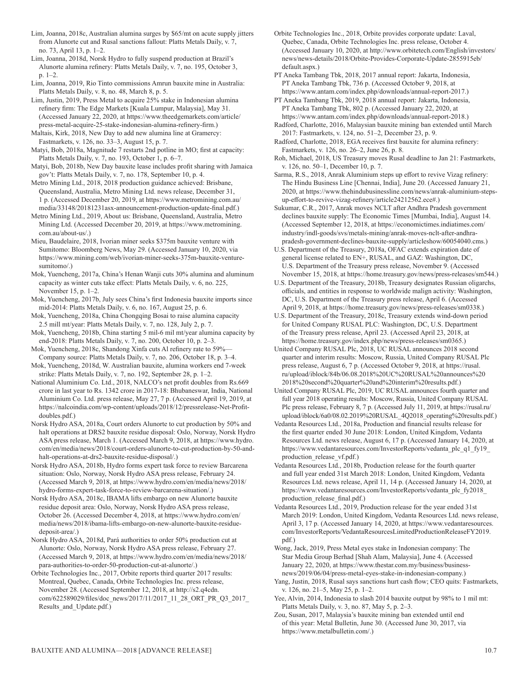Lim, Joanna, 2018c, Australian alumina surges by \$65/mt on acute supply jitters from Alunorte cut and Rusal sanctions fallout: Platts Metals Daily, v. 7, no. 73, April 13, p. 1–2.

Lim, Joanna, 2018d, Norsk Hydro to fully suspend production at Brazil's Alunorte alumina refinery: Platts Metals Daily, v. 7, no. 195, October 3, p. 1–2.

Lim, Joanna, 2019, Rio Tinto commissions Amrun bauxite mine in Australia: Platts Metals Daily, v. 8, no. 48, March 8, p. 5.

Lim, Justin, 2019, Press Metal to acquire 25% stake in Indonesian alumina refinery firm: The Edge Markets [Kuala Lumpur, Malaysia], May 31. (Accessed January 22, 2020, at https://www.theedgemarkets.com/article/ press-metal-acquire-25-stake-indonesian-alumina-refinery-firm.)

Maltais, Kirk, 2018, New Day to add new alumina line at Gramercy: Fastmarkets, v. 126, no. 33–3, August 15, p. 7.

Matyi, Bob, 2018a, Magnitude 7 restarts 2nd potline in MO; first at capacity: Platts Metals Daily, v. 7, no. 193, October 1, p. 6–7.

Matyi, Bob, 2018b, New Day bauxite lease includes profit sharing with Jamaica gov't: Platts Metals Daily, v. 7, no. 178, September 10, p. 4.

Metro Mining Ltd., 2018, 2018 production guidance achieved: Brisbane, Queensland, Australia, Metro Mining Ltd. news release, December 31, 1 p. (Accessed December 20, 2019, at https://www.metromining.com.au/ media/33148/20181231asx-announcement-production-update-final.pdf.)

Metro Mining Ltd., 2019, About us: Brisbane, Queensland, Australia, Metro Mining Ltd. (Accessed December 20, 2019, at https://www.metromining. com.au/about-us/.)

Mieu, Baudelaire, 2018, Ivorian miner seeks \$375m bauxite venture with Sumitomo: Bloomberg News, May 29. (Accessed January 10, 2020, via https://www.mining.com/web/ivorian-miner-seeks-375m-bauxite-venturesumitomo/.)

Mok, Yuencheng, 2017a, China's Henan Wanji cuts 30% alumina and aluminum capacity as winter cuts take effect: Platts Metals Daily, v. 6, no. 225, November 15, p. 1–2.

Mok, Yuencheng, 2017b, July sees China's first Indonesia bauxite imports since mid-2014: Platts Metals Daily, v. 6, no. 167, August 25, p. 6.

Mok, Yuencheng, 2018a, China Chongqing Bosai to raise alumina capacity 2.5 mill mt/year: Platts Metals Daily, v. 7, no. 128, July 2, p. 7.

Mok, Yuencheng, 2018b, China starting 5 mil-6 mil mt/year alumina capacity by end-2018: Platts Metals Daily, v. 7, no. 200, October 10, p. 2–3.

Mok, Yuencheng, 2018c, Shandong Xinfa cuts Al refinery rate to 59%— Company source: Platts Metals Daily, v. 7, no. 206, October 18, p. 3–4.

Mok, Yuencheng, 2018d, W. Australian bauxite, alumina workers end 7-week strike: Platts Metals Daily, v. 7, no. 192, September 28, p. 1–2.

National Aluminium Co. Ltd., 2018, NALCO's net profit doubles from Rs.669 crore in last year to Rs. 1342 crore in 2017-18: Bhubaneswar, India, National Aluminium Co. Ltd. press release, May 27, 7 p. (Accessed April 19, 2019, at https://nalcoindia.com/wp-content/uploads/2018/12/pressrelease-Net-Profitdoubles.pdf.)

Norsk Hydro ASA, 2018a, Court orders Alunorte to cut production by 50% and halt operations at DRS2 bauxite residue disposal: Oslo, Norway, Norsk Hydro ASA press release, March 1. (Accessed March 9, 2018, at https://www.hydro. com/en/media/news/2018/court-orders-alunorte-to-cut-production-by-50-andhalt-operations-at-drs2-bauxite-residue-disposal/.)

Norsk Hydro ASA, 2018b, Hydro forms expert task force to review Barcarena situation: Oslo, Norway, Norsk Hydro ASA press release, February 24. (Accessed March 9, 2018, at https://www.hydro.com/en/media/news/2018/ hydro-forms-expert-task-force-to-review-barcarena-situation/.)

Norsk Hydro ASA, 2018c, IBAMA lifts embargo on new Alunorte bauxite residue deposit area: Oslo, Norway, Norsk Hydro ASA press release, October 26. (Accessed December 4, 2018, at https://www.hydro.com/en/ media/news/2018/ibama-lifts-embargo-on-new-alunorte-bauxite-residuedeposit-area/.)

Norsk Hydro ASA, 2018d, Pará authorities to order 50% production cut at Alunorte: Oslo, Norway, Norsk Hydro ASA press release, February 27. (Accessed March 9, 2018, at https://www.hydro.com/en/media/news/2018/ para-authorities-to-order-50-production-cut-at-alunorte/.)

Orbite Technologies Inc., 2017, Orbite reports third quarter 2017 results: Montreal, Quebec, Canada, Orbite Technologies Inc. press release, November 28. (Accessed September 12, 2018, at http://s2.q4cdn. com/622589029/files/doc\_news/2017/11/2017\_11\_28\_ORT\_PR\_Q3\_2017\_ Results and Update.pdf.)

Orbite Technologies Inc., 2018, Orbite provides corporate update: Laval, Quebec, Canada, Orbite Technologies Inc. press release, October 4. (Accessed January 10, 2020, at http://www.orbitetech.com/English/investors/ news/news-details/2018/Orbite-Provides-Corporate-Update-2855915eb/ default.aspx.)

PT Aneka Tambang Tbk, 2018, 2017 annual report: Jakarta, Indonesia, PT Aneka Tambang Tbk, 736 p. (Accessed October 9, 2018, at https://www.antam.com/index.php/downloads/annual-report-2017.)

PT Aneka Tambang Tbk, 2019, 2018 annual report: Jakarta, Indonesia, PT Aneka Tambang Tbk, 802 p. (Accessed January 22, 2020, at https://www.antam.com/index.php/downloads/annual-report-2018.)

Radford, Charlotte, 2016, Malaysian bauxite mining ban extended until March 2017: Fastmarkets, v. 124, no. 51–2, December 23, p. 9.

Radford, Charlotte, 2018, EGA receives first bauxite for alumina refinery: Fastmarkets, v. 126, no. 26–2, June 26, p. 8.

Roh, Michael, 2018, US Treasury moves Rusal deadline to Jan 21: Fastmarkets, v. 126, no. 50–1, December 10, p. 7.

Sarma, R.S., 2018, Anrak Aluminium steps up effort to revive Vizag refinery: The Hindu Business Line [Chennai, India], June 20. (Accessed January 21, 2020, at https://www.thehindubusinessline.com/news/anrak-aluminium-stepsup-effort-to-revive-vizag-refinery/article24212562.ece#.)

Sukumar, C.R., 2017, Anrak moves NCLT after Andhra Pradesh government declines bauxite supply: The Economic Times [Mumbai, India], August 14. (Accessed September 12, 2018, at https://economictimes.indiatimes.com/ industry/indl-goods/svs/metals-mining/anrak-moves-nclt-after-andhrapradesh-government-declines-bauxite-supply/articleshow/60054040.cms.)

U.S. Department of the Treasury, 2018a, OFAC extends expiration date of general license related to EN+, RUSAL, and GAZ: Washington, DC, U.S. Department of the Treasury press release, November 9. (Accessed November 15, 2018, at https://home.treasury.gov/news/press-releases/sm544.)

U.S. Department of the Treasury, 2018b, Treasury designates Russian oligarchs, officials, and entities in response to worldwide malign activity: Washington, DC, U.S. Department of the Treasury press release, April 6. (Accessed April 9, 2018, at https://home.treasury.gov/news/press-releases/sm0338.)

U.S. Department of the Treasury, 2018c, Treasury extends wind-down period for United Company RUSAL PLC: Washington, DC, U.S. Department of the Treasury press release, April 23. (Accessed April 23, 2018, at https://home.treasury.gov/index.php/news/press-releases/sm0365.)

United Company RUSAL Plc, 2018, UC RUSAL announces 2018 second quarter and interim results: Moscow, Russia, United Company RUSAL Plc press release, August 6, 7 p. (Accessed October 9, 2018, at https://rusal. ru/upload/iblock/84b/06.08.2018%20UC%20RUSAL%20announces%20 2018%20second%20quarter%20and%20interim%20results.pdf.)

United Company RUSAL Plc, 2019, UC RUSAL announces fourth quarter and full year 2018 operating results: Moscow, Russia, United Company RUSAL Plc press release, February 8, 7 p. (Accessed July 11, 2019, at https://rusal.ru/ upload/iblock/6a0/08.02.2019%20RUSAL\_4Q2018\_operating%20results.pdf.)

Vedanta Resources Ltd., 2018a, Production and financial results release for the first quarter ended 30 June 2018: London, United Kingdom, Vedanta Resources Ltd. news release, August 6, 17 p. (Accessed January 14, 2020, at https://www.vedantaresources.com/InvestorReports/vedanta\_plc\_q1\_fy19 production\_release\_vf.pdf.)

Vedanta Resources Ltd., 2018b, Production release for the fourth quarter and full year ended 31st March 2018: London, United Kingdom, Vedanta Resources Ltd. news release, April 11, 14 p. (Accessed January 14, 2020, at https://www.vedantaresources.com/InvestorReports/vedanta\_plc\_fy2018\_ production\_release\_final.pdf.)

Vedanta Resources Ltd., 2019, Production release for the year ended 31st March 2019: London, United Kingdom, Vedanta Resources Ltd. news release, April 3, 17 p. (Accessed January 14, 2020, at https://www.vedantaresources. com/InvestorReports/VedantaResourcesLimitedProductionReleaseFY2019. pdf.)

Wong, Jack, 2019, Press Metal eyes stake in Indonesian company: The Star Media Group Berhad [Shah Alam, Malaysia], June 4. (Accessed January 22, 2020, at https://www.thestar.com.my/business/businessnews/2019/06/04/press-metal-eyes-stake-in-indonesian-company.)

Yang, Justin, 2018, Rusal says sanctions hurt cash flow; CEO quits: Fastmarkets, v. 126, no. 21–5, May 25, p. 1–2.

Yee, Alvin, 2014, Indonesia to slash 2014 bauxite output by 98% to 1 mil mt: Platts Metals Daily, v. 3, no. 87, May 5, p. 2–3.

Zou, Susan, 2017, Malaysia's bauxite mining ban extended until end of this year: Metal Bulletin, June 30. (Accessed June 30, 2017, via https://www.metalbulletin.com/.)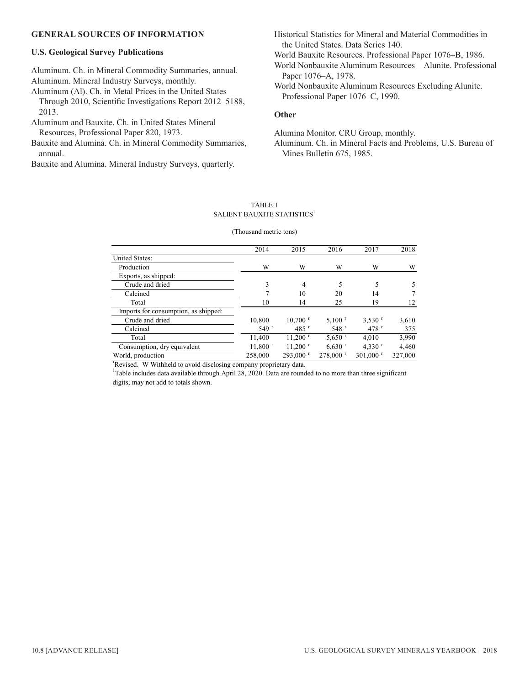#### **GENERAL SOURCES OF INFORMATION**

#### **U.S. Geological Survey Publications**

Aluminum. Ch. in Mineral Commodity Summaries, annual. Aluminum. Mineral Industry Surveys, monthly.

Aluminum (Al). Ch. in Metal Prices in the United States Through 2010, Scientific Investigations Report 2012–5188, 2013.

Aluminum and Bauxite. Ch. in United States Mineral Resources, Professional Paper 820, 1973.

Bauxite and Alumina. Ch. in Mineral Commodity Summaries, annual.

Bauxite and Alumina. Mineral Industry Surveys, quarterly.

Historical Statistics for Mineral and Material Commodities in the United States. Data Series 140.

World Bauxite Resources. Professional Paper 1076–B, 1986.

World Nonbauxite Aluminum Resources—Alunite. Professional Paper 1076–A, 1978.

World Nonbauxite Aluminum Resources Excluding Alunite. Professional Paper 1076–C, 1990.

#### **Other**

Alumina Monitor. CRU Group, monthly.

Aluminum. Ch. in Mineral Facts and Problems, U.S. Bureau of Mines Bulletin 675, 1985.

#### TABLE 1 SALIENT BAUXITE STATISTICS<sup>1</sup>

#### (Thousand metric tons)

|                                      | 2014                  | 2015                   | 2016                   | 2017                   | 2018    |
|--------------------------------------|-----------------------|------------------------|------------------------|------------------------|---------|
| <b>United States:</b>                |                       |                        |                        |                        |         |
| Production                           | W                     | W                      | W                      | W                      | W       |
| Exports, as shipped:                 |                       |                        |                        |                        |         |
| Crude and dried                      | 3                     | 4                      | 5                      |                        | 5       |
| Calcined                             |                       | 10                     | 20                     | 14                     |         |
| Total                                | 10                    | 14                     | 25                     | 19                     | 12      |
| Imports for consumption, as shipped: |                       |                        |                        |                        |         |
| Crude and dried                      | 10.800                | $10,700$ <sup>r</sup>  | $5.100$ <sup>r</sup>   | $3.530$ <sup>r</sup>   | 3,610   |
| Calcined                             | 549r                  | $485$ <sup>r</sup>     | $548$ <sup>r</sup>     | 478r                   | 375     |
| Total                                | 11.400                | $11,200$ <sup>r</sup>  | $5,650$ <sup>r</sup>   | 4.010                  | 3,990   |
| Consumption, dry equivalent          | $11,800$ <sup>r</sup> | $11,200$ <sup>r</sup>  | $6.630$ <sup>r</sup>   | 4,330 $r$              | 4.460   |
| World, production                    | 258,000               | $293,000$ <sup>r</sup> | $278,000$ <sup>r</sup> | $301,000$ <sup>r</sup> | 327,000 |

r Revised. W Withheld to avoid disclosing company proprietary data.

<sup>1</sup>Table includes data available through April 28, 2020. Data are rounded to no more than three significant digits; may not add to totals shown.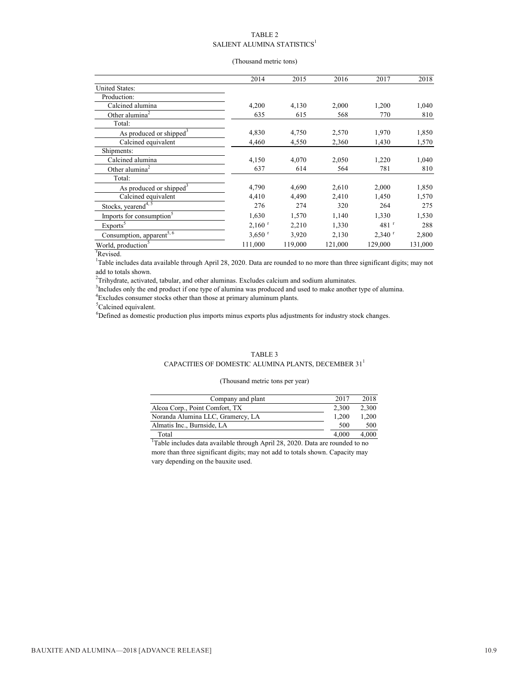#### TABLE 2 SALIENT ALUMINA STATISTICS<sup>1</sup>

#### (Thousand metric tons)

|                                       | 2014                 | 2015    | 2016    | 2017                 | 2018    |
|---------------------------------------|----------------------|---------|---------|----------------------|---------|
| <b>United States:</b>                 |                      |         |         |                      |         |
| Production:                           |                      |         |         |                      |         |
| Calcined alumina                      | 4,200                | 4,130   | 2,000   | 1,200                | 1,040   |
| Other alumina <sup>2</sup>            | 635                  | 615     | 568     | 770                  | 810     |
| Total:                                |                      |         |         |                      |         |
| As produced or shipped <sup>3</sup>   | 4,830                | 4,750   | 2,570   | 1,970                | 1,850   |
| Calcined equivalent                   | 4,460                | 4,550   | 2,360   | 1,430                | 1,570   |
| Shipments:                            |                      |         |         |                      |         |
| Calcined alumina                      | 4,150                | 4.070   | 2,050   | 1,220                | 1,040   |
| Other alumina <sup>2</sup>            | 637                  | 614     | 564     | 781                  | 810     |
| Total:                                |                      |         |         |                      |         |
| As produced or shipped <sup>3</sup>   | 4,790                | 4,690   | 2,610   | 2,000                | 1,850   |
| Calcined equivalent                   | 4,410                | 4,490   | 2.410   | 1,450                | 1,570   |
| Stocks, yearend <sup>4, 5</sup>       | 276                  | 274     | 320     | 264                  | 275     |
| Imports for consumption <sup>5</sup>  | 1,630                | 1,570   | 1,140   | 1,330                | 1,530   |
| Exports <sup>5</sup>                  | $2,160$ <sup>r</sup> | 2,210   | 1,330   | $481$ <sup>r</sup>   | 288     |
| Consumption, apparent <sup>5, 6</sup> | $3,650$ <sup>r</sup> | 3,920   | 2,130   | $2,340$ <sup>r</sup> | 2,800   |
| World, production <sup>3</sup>        | 111,000              | 119,000 | 121,000 | 129,000              | 131,000 |

r Revised.

<sup>1</sup>Table includes data available through April 28, 2020. Data are rounded to no more than three significant digits; may not add to totals shown.

 $2$ Trihydrate, activated, tabular, and other aluminas. Excludes calcium and sodium aluminates.

<sup>3</sup>Includes only the end product if one type of alumina was produced and used to make another type of alumina.

<sup>4</sup>Excludes consumer stocks other than those at primary aluminum plants.

<sup>5</sup>Calcined equivalent.

<sup>6</sup>Defined as domestic production plus imports minus exports plus adjustments for industry stock changes.

#### TABLE 3

#### CAPACITIES OF DOMESTIC ALUMINA PLANTS, DECEMBER  $31^{\hspace{.1mm}1}$

#### (Thousand metric tons per year)

| Company and plant                 | 2017  | 2018  |
|-----------------------------------|-------|-------|
| Alcoa Corp., Point Comfort, TX    | 2.300 | 2.300 |
| Noranda Alumina LLC, Gramercy, LA | 1.200 | 1.200 |
| Almatis Inc., Burnside, LA        | 500   | 500   |
| Total                             | 4.000 | 4.000 |

<sup>1</sup>Table includes data available through April 28, 2020. Data are rounded to no more than three significant digits; may not add to totals shown. Capacity may vary depending on the bauxite used.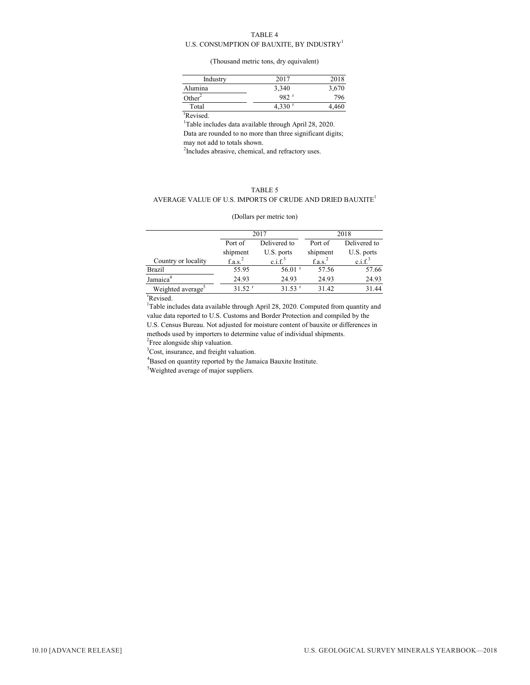#### TABLE 4

#### U.S. CONSUMPTION OF BAUXITE, BY INDUSTRY<sup>1</sup>

#### (Thousand metric tons, dry equivalent)

| Industry           | 2017                 | 2018  |
|--------------------|----------------------|-------|
| Alumina            | 3,340                | 3,670 |
| Other <sup>2</sup> | 982 r                | 796   |
| Total              | $4,330$ <sup>r</sup> | 4,460 |

r Revised.

<sup>1</sup>Table includes data available through April 28, 2020.

Data are rounded to no more than three significant digits; may not add to totals shown.

<sup>2</sup>Includes abrasive, chemical, and refractory uses.

#### TABLE 5 AVERAGE VALUE OF U.S. IMPORTS OF CRUDE AND DRIED BAUXITE<sup>1</sup>

#### (Dollars per metric ton)

|                               |                      | 2017                 | 2018                |                     |  |
|-------------------------------|----------------------|----------------------|---------------------|---------------------|--|
|                               | Port of              | Delivered to         |                     | Delivered to        |  |
|                               | shipment             | U.S. ports           | shipment            | U.S. ports          |  |
| Country or locality           | f.a.s. <sup>2</sup>  | c.i.f. <sup>3</sup>  | f.a.s. <sup>2</sup> | c.i.f. <sup>3</sup> |  |
| <b>Brazil</b>                 | 55.95                | $56.01$ <sup>r</sup> | 57.56               | 57.66               |  |
| Jamaica <sup>4</sup>          | 24.93                | 24.93                | 24.93               | 24.93               |  |
| Weighted average <sup>3</sup> | $31.52$ <sup>r</sup> | $31.53$ <sup>r</sup> | 31.42               | 31.44               |  |
|                               |                      |                      |                     |                     |  |

r Revised.

<sup>1</sup>Table includes data available through April 28, 2020. Computed from quantity and value data reported to U.S. Customs and Border Protection and compiled by the U.S. Census Bureau. Not adjusted for moisture content of bauxite or differences in methods used by importers to determine value of individual shipments.

<sup>2</sup>Free alongside ship valuation.

<sup>3</sup>Cost, insurance, and freight valuation.

<sup>4</sup>Based on quantity reported by the Jamaica Bauxite Institute.

<sup>5</sup>Weighted average of major suppliers.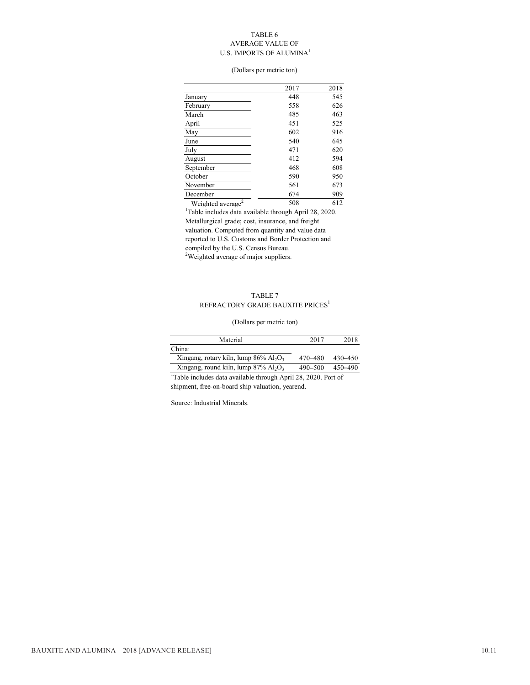#### TABLE 6 AVERAGE VALUE OF U.S. IMPORTS OF ALUMINA<sup>1</sup>

#### (Dollars per metric ton)

|                               | 2017 | 2018 |
|-------------------------------|------|------|
| January                       | 448  | 545  |
| February                      | 558  | 626  |
| March                         | 485  | 463  |
| April                         | 451  | 525  |
| May                           | 602  | 916  |
| June                          | 540  | 645  |
| July                          | 471  | 620  |
| August                        | 412  | 594  |
| September                     | 468  | 608  |
| October                       | 590  | 950  |
| November                      | 561  | 673  |
| December                      | 674  | 909  |
| Weighted average <sup>2</sup> | 508  | 612  |

<sup>2</sup>Weighted average of major suppliers. <sup>1</sup>Table includes data available through April 28, 2020. Metallurgical grade; cost, insurance, and freight valuation. Computed from quantity and value data reported to U.S. Customs and Border Protection and compiled by the U.S. Census Bureau.

#### TABLE 7  $\mathsf{REFR}\mathsf{ACTORY}$ GRADE BAUXITE $\mathsf{PRICES}^1$

#### (Dollars per metric ton)

| Material                                                         | 2017        | 2018    |
|------------------------------------------------------------------|-------------|---------|
| China:                                                           |             |         |
| Xingang, rotary kiln, lump $86\%$ Al <sub>2</sub> O <sub>3</sub> | 470–480     | 430-450 |
| Xingang, round kiln, lump $87\%$ Al <sub>2</sub> O <sub>3</sub>  | $490 - 500$ | 450-490 |

 $\frac{\text{Xingang}}{\text{Table}}$  includes data available through April 28, 2020. Port of shipment, free-on-board ship valuation, yearend.

Source: Industrial Minerals.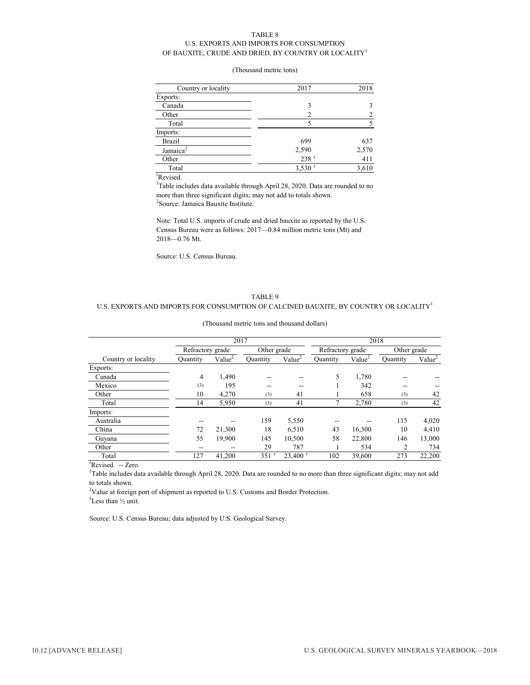#### TABLE 8 U.S. EXPORTS AND IMPORTS FOR CONSUMPTION OF BAUXITE, CRUDE AND DRIED, BY COUNTRY OR LOCALITY  $^{\rm l}$

#### (Thousand metric tons)

| Country or locality             | 2017                 | 2018  |
|---------------------------------|----------------------|-------|
| Exports:                        |                      |       |
| Canada                          | 3                    |       |
| Other                           | $\overline{c}$       |       |
| Total                           |                      |       |
| Imports:                        |                      |       |
| Brazil                          | 699                  | 637   |
| Jamaica <sup>2</sup>            | 2,590                | 2,570 |
| Other                           | $238$ <sup>r</sup>   | 411   |
| Total                           | $3,530$ <sup>r</sup> | 3,610 |
| $r_{\rm max}$ and $r_{\rm max}$ |                      |       |

r Revised.

<sup>1</sup>Table includes data available through April 28, 2020. Data are rounded to no more than three significant digits; may not add to totals shown. <sup>2</sup>Source: Jamaica Bauxite Institute.

Note: Total U.S. imports of crude and dried bauxite as reported by the U.S. Census Bureau were as follows: 2017—0.84 million metric tons (Mt) and 2018—0.76 Mt.

Source: U.S. Census Bureau.

#### TABLE 9 U.S. EXPORTS AND IMPORTS FOR CONSUMPTION OF CALCINED BAUXITE, BY COUNTRY OR LOCALITY<sup>1</sup>

|                     |                  | 2017               |                    |                       |                  | 2018               |             |                    |  |
|---------------------|------------------|--------------------|--------------------|-----------------------|------------------|--------------------|-------------|--------------------|--|
|                     | Refractory grade |                    | Other grade        |                       | Refractory grade |                    | Other grade |                    |  |
| Country or locality | Ouantity         | Value <sup>2</sup> | Ouantity           | Value <sup>2</sup>    | Ouantity         | Value <sup>2</sup> | Ouantity    | Value <sup>2</sup> |  |
| Exports:            |                  |                    |                    |                       |                  |                    |             |                    |  |
| Canada              | 4                | 1.490              | --                 | --                    | 5                | 1,780              |             |                    |  |
| Mexico              | (3)              | 195                | --                 | --                    |                  | 342                | --          | --                 |  |
| Other               | 10               | 4,270              | (3)                | 41                    |                  | 658                | (3)         | 42                 |  |
| Total               | 14               | 5,950              | (3)                | 41                    |                  | 2,780              | (3)         | 42                 |  |
| Imports:            |                  |                    |                    |                       |                  |                    |             |                    |  |
| Australia           |                  |                    | 159                | 5,550                 |                  |                    | 115         | 4,020              |  |
| China               | 72               | 21.300             | 18                 | 6.510                 | 43               | 16.300             | 10          | 4,410              |  |
| Guyana              | 55               | 19,900             | 145                | 10,500                | 58               | 22,800             | 146         | 13,000             |  |
| Other               | --               | --                 | 29                 | 787                   |                  | 534                | 2           | 734                |  |
| Total               | 127              | 41,200             | $351$ <sup>r</sup> | $23.400$ <sup>r</sup> | 102              | 39,600             | 273         | 22,200             |  |

#### (Thousand metric tons and thousand dollars)

<sup>r</sup>Revised. -- Zero.

<sup>1</sup>Table includes data available through April 28, 2020. Data are rounded to no more than three significant digits; may not add to totals shown.

 $2$ Value at foreign port of shipment as reported to U.S. Customs and Border Protection.  $3$ Less than  $\frac{1}{2}$  unit.

Source: U.S. Census Bureau; data adjusted by U.S. Geological Survey.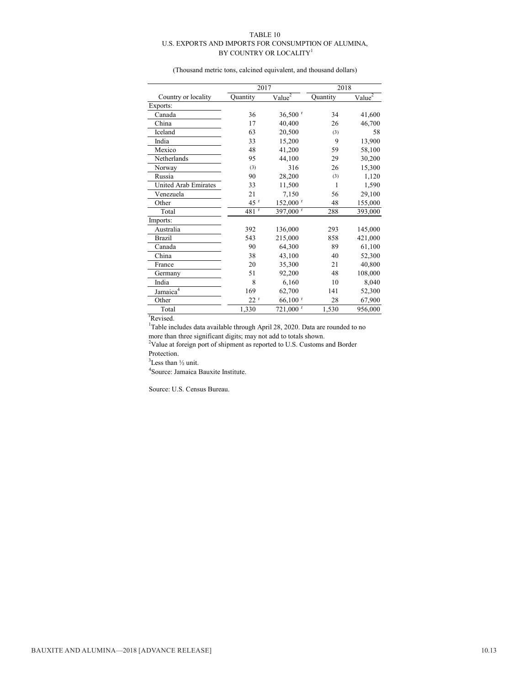#### TABLE 10 U.S. EXPORTS AND IMPORTS FOR CONSUMPTION OF ALUMINA, BY COUNTRY OR LOCALITY<sup>1</sup>

(Thousand metric tons, calcined equivalent, and thousand dollars)

|                             | 2017              |                        | 2018     |                    |  |
|-----------------------------|-------------------|------------------------|----------|--------------------|--|
| Country or locality         | Quantity          | $Value^2$              | Quantity | Value <sup>2</sup> |  |
| Exports:                    |                   |                        |          |                    |  |
| Canada                      | 36                | $36,500$ <sup>r</sup>  | 34       | 41,600             |  |
| China                       | 17                | 40.400                 | 26       | 46,700             |  |
| Iceland                     | 63                | 20,500                 | (3)      | 58                 |  |
| India                       | 33                | 15,200                 | 9        | 13,900             |  |
| Mexico                      | 48                | 41,200                 | 59       | 58,100             |  |
| Netherlands                 | 95                | 44,100                 | 29       | 30,200             |  |
| Norway                      | (3)               | 316                    | 26       | 15,300             |  |
| Russia                      | 90                | 28,200                 | (3)      | 1,120              |  |
| <b>United Arab Emirates</b> | 33                | 11,500                 | 1        | 1,590              |  |
| Venezuela                   | 21                | 7,150                  | 56       | 29,100             |  |
| Other                       | $45$ <sup>r</sup> | 152,000 r              | 48       | 155,000            |  |
| Total                       | 481 <sup>r</sup>  | 397,000 r              | 288      | 393,000            |  |
| Imports:                    |                   |                        |          |                    |  |
| Australia                   | 392               | 136,000                | 293      | 145,000            |  |
| <b>Brazil</b>               | 543               | 215,000                | 858      | 421,000            |  |
| Canada                      | 90                | 64,300                 | 89       | 61,100             |  |
| China                       | 38                | 43,100                 | 40       | 52,300             |  |
| France                      | 20                | 35,300                 | 21       | 40,800             |  |
| Germany                     | 51                | 92,200                 | 48       | 108,000            |  |
| India                       | 8                 | 6,160                  | 10       | 8,040              |  |
| Jamaica <sup>4</sup>        | 169               | 62,700                 | 141      | 52,300             |  |
| Other                       | $22^r$            | $66,100$ <sup>r</sup>  | 28       | 67,900             |  |
| Total                       | 1,330             | $721,000$ <sup>r</sup> | 1,530    | 956,000            |  |

r Revised.

<sup>1</sup>Table includes data available through April 28, 2020. Data are rounded to no

more than three significant digits; may not add to totals shown. 2 Value at foreign port of shipment as reported to U.S. Customs and Border Protection.

 $3$ Less than  $\frac{1}{2}$  unit.

4 Source: Jamaica Bauxite Institute.

Source: U.S. Census Bureau.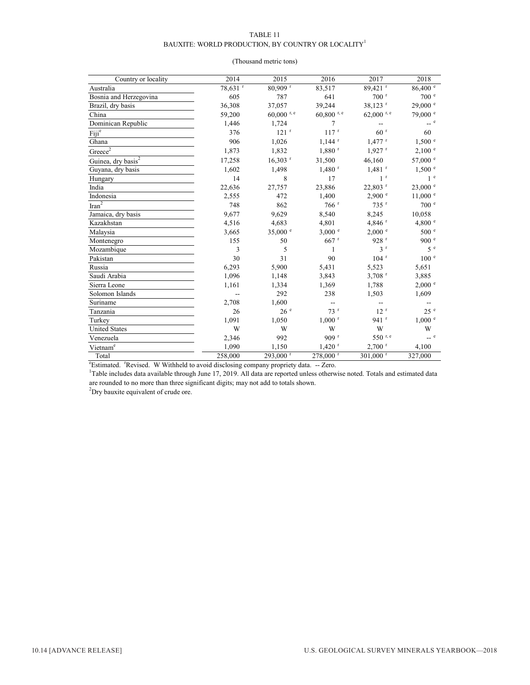#### TABLE 11 BAUXITE: WORLD PRODUCTION, BY COUNTRY OR LOCALITY  ${}^{\rm l}$

#### (Thousand metric tons)

| Country or locality            | 2014     | 2015                  | 2016                 | 2017                   | 2018                  |
|--------------------------------|----------|-----------------------|----------------------|------------------------|-----------------------|
| Australia                      | 78,631 r | 80,909 r              | 83,517               | 89,421 <sup>r</sup>    | $86,400^{\circ}$      |
| Bosnia and Herzegovina         | 605      | 787                   | 641                  | $700$ <sup>r</sup>     | 700 <sup>e</sup>      |
| Brazil, dry basis              | 36,308   | 37,057                | 39,244               | 38,123 <sup>r</sup>    | $29,000$ $e$          |
| China                          | 59,200   | $60,000$ r, e         | $60,800$ r, e        | $62,000$ r, e          | 79,000 °              |
| Dominican Republic             | 1,446    | 1,724                 | 7                    |                        | $\sim$ e              |
| Fiji <sup>e</sup>              | 376      | $121$ <sup>r</sup>    | 117r                 | 60 <sup>r</sup>        | 60                    |
| Ghana                          | 906      | 1,026                 | $1,144$ <sup>r</sup> | $1,477$ <sup>r</sup>   | $1,500$ $\degree$     |
| $Greeze^2$                     | 1,873    | 1,832                 | $1,880$ <sup>r</sup> | $1,927$ <sup>r</sup>   | $2,100$ $^{\circ}$    |
| Guinea, dry basis <sup>2</sup> | 17,258   | $16,303$ <sup>r</sup> | 31,500               | 46,160                 | $57{,}000$ $^{\circ}$ |
| Guyana, dry basis              | 1,602    | 1,498                 | $1,480$ <sup>r</sup> | $1,481$ <sup>r</sup>   | $1,500$ $\degree$     |
| Hungary                        | 14       | 8                     | 17                   | 1 <sup>r</sup>         | 1 <sup>e</sup>        |
| India                          | 22,636   | 27,757                | 23,886               | $22,803$ <sup>r</sup>  | 23,000 e              |
| Indonesia                      | 2,555    | 472                   | 1,400                | 2,900 °                | $11{,}000$ $^{\circ}$ |
| $\overline{\text{tran}^2}$     | 748      | 862                   | 766r                 | $735$ <sup>r</sup>     | 700 <sup>e</sup>      |
| Jamaica, dry basis             | 9,677    | 9,629                 | 8,540                | 8,245                  | 10,058                |
| Kazakhstan                     | 4,516    | 4,683                 | 4,801                | 4,846 $r$              | 4,800 °               |
| Malaysia                       | 3,665    | 35,000 $^{\circ}$     | $3,000$ $^{\circ}$   | 2,000 °                | 500 <sup>e</sup>      |
| Montenegro                     | 155      | 50                    | $667$ <sup>r</sup>   | 928 <sup>r</sup>       | 900 <sup>e</sup>      |
| Mozambique                     | 3        | 5                     | 1                    | 3 <sup>r</sup>         | 5e                    |
| Pakistan                       | 30       | 31                    | 90                   | $104$ <sup>r</sup>     | 100 <sup>e</sup>      |
| Russia                         | 6,293    | 5,900                 | 5,431                | 5,523                  | 5,651                 |
| Saudi Arabia                   | 1,096    | 1,148                 | 3,843                | $3,708$ <sup>r</sup>   | 3,885                 |
| Sierra Leone                   | 1,161    | 1,334                 | 1,369                | 1,788                  | $2,000$ $\degree$     |
| Solomon Islands                |          | 292                   | 238                  | 1,503                  | 1,609                 |
| Suriname                       | 2,708    | 1,600                 |                      | --                     |                       |
| Tanzania                       | 26       | 26e                   | 73r                  | 12 <sup>r</sup>        | 25 <sup>e</sup>       |
| Turkey                         | 1,091    | 1,050                 | $1,000$ <sup>r</sup> | $941$ <sup>r</sup>     | $1,000$ $^{\circ}$    |
| <b>United States</b>           | W        | W                     | W                    | W                      | W                     |
| Venezuela                      | 2,346    | 992                   | 909 r                | 550 r.e                | $\sim$ e              |
| Vietnam <sup>e</sup>           | 1,090    | 1,150                 | $1,420$ <sup>r</sup> | $2,700$ <sup>r</sup>   | 4,100                 |
| Total                          | 258,000  | 293,000 r             | 278,000 r            | $301,000$ <sup>r</sup> | 327,000               |

<sup>e</sup>Estimated. <sup>r</sup>Revised. W Withheld to avoid disclosing company propriety data. -- Zero.

<sup>1</sup>Table includes data available through June 17, 2019. All data are reported unless otherwise noted. Totals and estimated data are rounded to no more than three significant digits; may not add to totals shown.

 ${}^{2}$ Dry bauxite equivalent of crude ore.